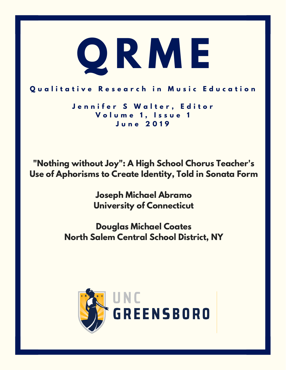

## Qualitative Research in Music Education

**J e n n i f e r S W a l t e r , E d i t o r V o l u m e 1 , I s s u e 1 J u n e 2 0 1 9**

**"Nothing without Joy": A High School Chorus Teacher's Use of Aphorisms to Create Identity, Told in Sonata Form**

> **Joseph Michael Abramo University of Connecticut**

**Douglas Michael Coates North Salem Central School District, NY**

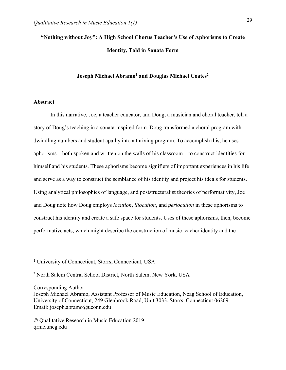# **"Nothing without Joy": A High School Chorus Teacher's Use of Aphorisms to Create Identity, Told in Sonata Form**

## **Joseph Michael Abramo1 and Douglas Michael Coates2**

## **Abstract**

In this narrative, Joe, a teacher educator, and Doug, a musician and choral teacher, tell a story of Doug's teaching in a sonata-inspired form. Doug transformed a choral program with dwindling numbers and student apathy into a thriving program. To accomplish this, he uses aphorisms—both spoken and written on the walls of his classroom—to construct identities for himself and his students. These aphorisms become signifiers of important experiences in his life and serve as a way to construct the semblance of his identity and project his ideals for students. Using analytical philosophies of language, and poststructuralist theories of performativity, Joe and Doug note how Doug employs *locution*, *illocution*, and *perlocution* in these aphorisms to construct his identity and create a safe space for students. Uses of these aphorisms, then, become performative acts, which might describe the construction of music teacher identity and the

Corresponding Author:

<sup>1</sup> University of Connecticut, Storrs, Connecticut, USA

<sup>2</sup> North Salem Central School District, North Salem, New York, USA

Joseph Michael Abramo, Assistant Professor of Music Education, Neag School of Education, University of Connecticut, 249 Glenbrook Road, Unit 3033, Storrs, Connecticut 06269 Email: joseph.abramo@uconn.edu

Ó Qualitative Research in Music Education 2019 qrme.uncg.edu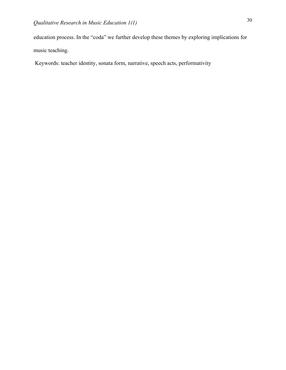education process. In the "coda" we further develop these themes by exploring implications for music teaching.

Keywords: teacher identity, sonata form, narrative, speech acts, performativity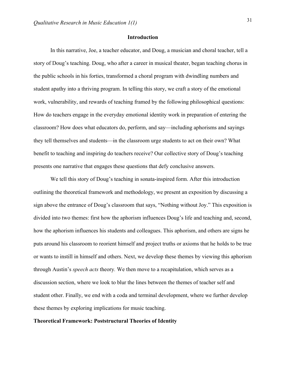## **Introduction**

In this narrative, Joe, a teacher educator, and Doug, a musician and choral teacher, tell a story of Doug's teaching. Doug, who after a career in musical theater, began teaching chorus in the public schools in his forties, transformed a choral program with dwindling numbers and student apathy into a thriving program. In telling this story, we craft a story of the emotional work, vulnerability, and rewards of teaching framed by the following philosophical questions: How do teachers engage in the everyday emotional identity work in preparation of entering the classroom? How does what educators do, perform, and say—including aphorisms and sayings they tell themselves and students—in the classroom urge students to act on their own? What benefit to teaching and inspiring do teachers receive? Our collective story of Doug's teaching presents one narrative that engages these questions that defy conclusive answers.

We tell this story of Doug's teaching in sonata-inspired form. After this introduction outlining the theoretical framework and methodology, we present an exposition by discussing a sign above the entrance of Doug's classroom that says, "Nothing without Joy." This exposition is divided into two themes: first how the aphorism influences Doug's life and teaching and, second, how the aphorism influences his students and colleagues. This aphorism, and others are signs he puts around his classroom to reorient himself and project truths or axioms that he holds to be true or wants to instill in himself and others. Next, we develop these themes by viewing this aphorism through Austin's *speech acts* theory*.* We then move to a recapitulation, which serves as a discussion section, where we look to blur the lines between the themes of teacher self and student other. Finally, we end with a coda and terminal development, where we further develop these themes by exploring implications for music teaching.

## **Theoretical Framework: Poststructural Theories of Identity**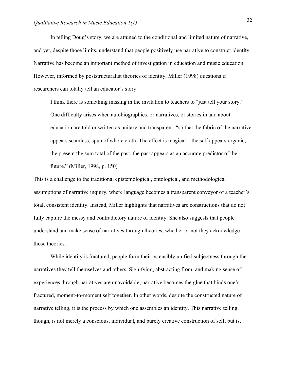In telling Doug's story, we are attuned to the conditional and limited nature of narrative, and yet, despite those limits, understand that people positively use narrative to construct identity. Narrative has become an important method of investigation in education and music education. However, informed by poststructuralist theories of identity, Miller (1998) questions if researchers can totally tell an educator's story.

I think there is something missing in the invitation to teachers to "just tell your story." One difficulty arises when autobiographies, or narratives, or stories in and about education are told or written as unitary and transparent, "so that the fabric of the narrative appears seamless, spun of whole cloth. The effect is magical—the self appears organic, the present the sum total of the past, the past appears as an accurate predictor of the future." (Miller, 1998, p. 150)

This is a challenge to the traditional epistemological, ontological, and methodological assumptions of narrative inquiry, where language becomes a transparent conveyor of a teacher's total, consistent identity. Instead, Miller highlights that narratives are constructions that do not fully capture the messy and contradictory nature of identity. She also suggests that people understand and make sense of narratives through theories, whether or not they acknowledge those theories.

While identity is fractured, people form their ostensibly unified subjectness through the narratives they tell themselves and others. Signifying, abstracting from, and making sense of experiences through narratives are unavoidable; narrative becomes the glue that binds one's fractured, moment-to-moment self together. In other words, despite the constructed nature of narrative telling, it is the process by which one assembles an identity. This narrative telling, though, is not merely a conscious, individual, and purely creative construction of self, but is,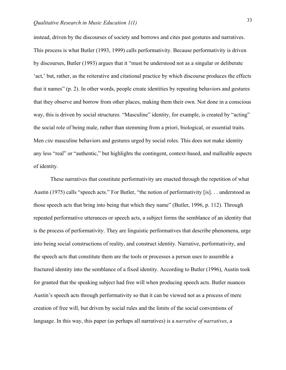instead, driven by the discourses of society and borrows and cites past gestures and narratives. This process is what Butler (1993, 1999) calls performativity. Because performativity is driven by discourses, Butler (1993) argues that it "must be understood not as a singular or deliberate 'act,' but, rather, as the reiterative and citational practice by which discourse produces the effects that it names" (p. 2). In other words, people create identities by repeating behaviors and gestures that they observe and borrow from other places, making them their own. Not done in a conscious way, this is driven by social structures. "Masculine" identity, for example, is created by "acting" the social role of being male, rather than stemming from a priori, biological, or essential traits. Men *cite* masculine behaviors and gestures urged by social roles. This does not make identity any less "real" or "authentic," but highlights the contingent, context-based, and malleable aspects of identity.

These narratives that constitute performativity are enacted through the repetition of what Austin (1975) calls "speech acts." For Butler, "the notion of performativity [is]. . . understood as those speech acts that bring into being that which they name" (Butler, 1996, p. 112). Through repeated performative utterances or speech acts, a subject forms the semblance of an identity that is the process of performativity. They are linguistic performatives that describe phenomena, urge into being social constructions of reality, and construct identity. Narrative, performativity, and the speech acts that constitute them are the tools or processes a person uses to assemble a fractured identity into the semblance of a fixed identity. According to Butler (1996), Austin took for granted that the speaking subject had free will when producing speech acts. Butler nuances Austin's speech acts through performativity so that it can be viewed not as a process of mere creation of free will, but driven by social rules and the limits of the social conventions of language. In this way, this paper (as perhaps all narratives) is a *narrative of narratives*, a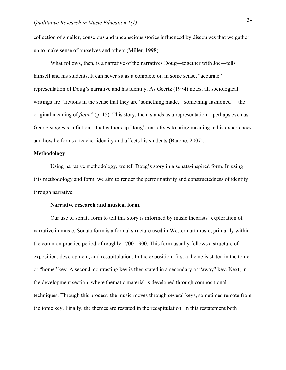collection of smaller, conscious and unconscious stories influenced by discourses that we gather up to make sense of ourselves and others (Miller, 1998).

What follows, then, is a narrative of the narratives Doug—together with Joe—tells himself and his students. It can never sit as a complete or, in some sense, "accurate" representation of Doug's narrative and his identity. As Geertz (1974) notes, all sociological writings are "fictions in the sense that they are 'something made,' 'something fashioned'—the original meaning of *fictio*" (p. 15). This story, then, stands as a representation—perhaps even as Geertz suggests, a fiction—that gathers up Doug's narratives to bring meaning to his experiences and how he forms a teacher identity and affects his students (Barone, 2007).

## **Methodology**

Using narrative methodology, we tell Doug's story in a sonata-inspired form. In using this methodology and form, we aim to render the performativity and constructedness of identity through narrative.

#### **Narrative research and musical form.**

Our use of sonata form to tell this story is informed by music theorists' exploration of narrative in music. Sonata form is a formal structure used in Western art music, primarily within the common practice period of roughly 1700-1900. This form usually follows a structure of exposition, development, and recapitulation. In the exposition, first a theme is stated in the tonic or "home" key. A second, contrasting key is then stated in a secondary or "away" key. Next, in the development section, where thematic material is developed through compositional techniques. Through this process, the music moves through several keys, sometimes remote from the tonic key. Finally, the themes are restated in the recapitulation. In this restatement both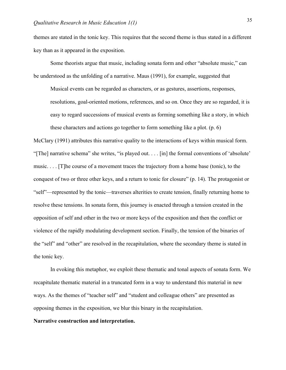themes are stated in the tonic key. This requires that the second theme is thus stated in a different key than as it appeared in the exposition.

Some theorists argue that music, including sonata form and other "absolute music," can be understood as the unfolding of a narrative. Maus (1991), for example, suggested that

Musical events can be regarded as characters, or as gestures, assertions, responses, resolutions, goal-oriented motions, references, and so on. Once they are so regarded, it is easy to regard successions of musical events as forming something like a story, in which these characters and actions go together to form something like a plot. (p. 6)

McClary (1991) attributes this narrative quality to the interactions of keys within musical form. "[The] narrative schema" she writes, "is played out. . . . [in] the formal conventions of 'absolute' music. . . . [T]he course of a movement traces the trajectory from a home base (tonic), to the conquest of two or three other keys, and a return to tonic for closure" (p. 14). The protagonist or "self"—represented by the tonic—traverses alterities to create tension, finally returning home to resolve these tensions. In sonata form, this journey is enacted through a tension created in the opposition of self and other in the two or more keys of the exposition and then the conflict or violence of the rapidly modulating development section. Finally, the tension of the binaries of the "self" and "other" are resolved in the recapitulation, where the secondary theme is stated in the tonic key.

In evoking this metaphor, we exploit these thematic and tonal aspects of sonata form. We recapitulate thematic material in a truncated form in a way to understand this material in new ways. As the themes of "teacher self" and "student and colleague others" are presented as opposing themes in the exposition, we blur this binary in the recapitulation.

## **Narrative construction and interpretation.**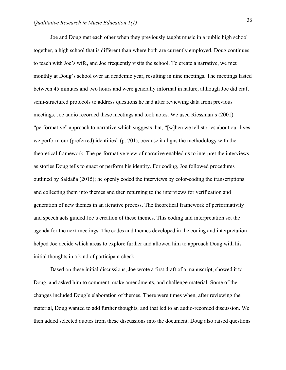Joe and Doug met each other when they previously taught music in a public high school together, a high school that is different than where both are currently employed. Doug continues to teach with Joe's wife, and Joe frequently visits the school. To create a narrative, we met monthly at Doug's school over an academic year, resulting in nine meetings. The meetings lasted between 45 minutes and two hours and were generally informal in nature, although Joe did craft semi-structured protocols to address questions he had after reviewing data from previous meetings. Joe audio recorded these meetings and took notes. We used Riessman's (2001) "performative" approach to narrative which suggests that, "[w]hen we tell stories about our lives we perform our (preferred) identities" (p. 701), because it aligns the methodology with the theoretical framework. The performative view of narrative enabled us to interpret the interviews as stories Doug tells to enact or perform his identity. For coding, Joe followed procedures outlined by Saldaña (2015); he openly coded the interviews by color-coding the transcriptions and collecting them into themes and then returning to the interviews for verification and generation of new themes in an iterative process. The theoretical framework of performativity and speech acts guided Joe's creation of these themes. This coding and interpretation set the agenda for the next meetings. The codes and themes developed in the coding and interpretation helped Joe decide which areas to explore further and allowed him to approach Doug with his initial thoughts in a kind of participant check.

Based on these initial discussions, Joe wrote a first draft of a manuscript, showed it to Doug, and asked him to comment, make amendments, and challenge material. Some of the changes included Doug's elaboration of themes. There were times when, after reviewing the material, Doug wanted to add further thoughts, and that led to an audio-recorded discussion. We then added selected quotes from these discussions into the document. Doug also raised questions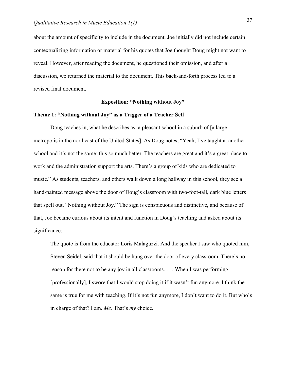about the amount of specificity to include in the document. Joe initially did not include certain contextualizing information or material for his quotes that Joe thought Doug might not want to reveal. However, after reading the document, he questioned their omission, and after a discussion, we returned the material to the document. This back-and-forth process led to a revised final document.

## **Exposition: "Nothing without Joy"**

#### **Theme 1: "Nothing without Joy" as a Trigger of a Teacher Self**

Doug teaches in, what he describes as, a pleasant school in a suburb of [a large metropolis in the northeast of the United States]. As Doug notes, "Yeah, I've taught at another school and it's not the same; this so much better. The teachers are great and it's a great place to work and the administration support the arts. There's a group of kids who are dedicated to music." As students, teachers, and others walk down a long hallway in this school, they see a hand-painted message above the door of Doug's classroom with two-foot-tall, dark blue letters that spell out, "Nothing without Joy." The sign is conspicuous and distinctive, and because of that, Joe became curious about its intent and function in Doug's teaching and asked about its significance:

The quote is from the educator Loris Malaguzzi. And the speaker I saw who quoted him, Steven Seidel, said that it should be hung over the door of every classroom. There's no reason for there not to be any joy in all classrooms. . . . When I was performing [professionally], I swore that I would stop doing it if it wasn't fun anymore. I think the same is true for me with teaching. If it's not fun anymore, I don't want to do it. But who's in charge of that? I am. *Me.* That's *my* choice.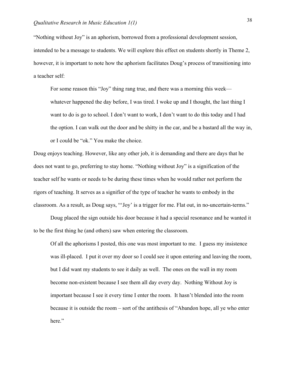"Nothing without Joy" is an aphorism, borrowed from a professional development session, intended to be a message to students. We will explore this effect on students shortly in Theme 2, however, it is important to note how the aphorism facilitates Doug's process of transitioning into a teacher self:

For some reason this "Joy" thing rang true, and there was a morning this week whatever happened the day before, I was tired. I woke up and I thought, the last thing I want to do is go to school. I don't want to work, I don't want to do this today and I had the option. I can walk out the door and be shitty in the car, and be a bastard all the way in, or I could be "ok." You make the choice.

Doug enjoys teaching. However, like any other job, it is demanding and there are days that he does not want to go, preferring to stay home. "Nothing without Joy" is a signification of the teacher self he wants or needs to be during these times when he would rather not perform the rigors of teaching. It serves as a signifier of the type of teacher he wants to embody in the classroom. As a result, as Doug says, "'Joy' is a trigger for me. Flat out, in no-uncertain-terms."

Doug placed the sign outside his door because it had a special resonance and he wanted it to be the first thing he (and others) saw when entering the classroom.

Of all the aphorisms I posted, this one was most important to me. I guess my insistence was ill-placed. I put it over my door so I could see it upon entering and leaving the room, but I did want my students to see it daily as well. The ones on the wall in my room become non-existent because I see them all day every day. Nothing Without Joy is important because I see it every time I enter the room. It hasn't blended into the room because it is outside the room – sort of the antithesis of "Abandon hope, all ye who enter here."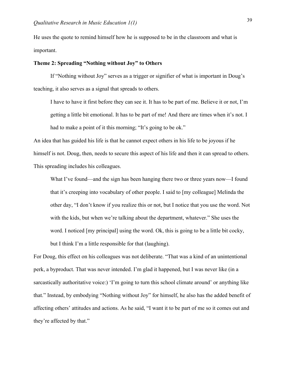He uses the quote to remind himself how he is supposed to be in the classroom and what is important.

#### **Theme 2: Spreading "Nothing without Joy" to Others**

If "Nothing without Joy" serves as a trigger or signifier of what is important in Doug's teaching, it also serves as a signal that spreads to others.

I have to have it first before they can see it. It has to be part of me. Believe it or not, I'm getting a little bit emotional. It has to be part of me! And there are times when it's not. I had to make a point of it this morning; "It's going to be ok."

An idea that has guided his life is that he cannot expect others in his life to be joyous if he himself is not. Doug, then, needs to secure this aspect of his life and then it can spread to others. This spreading includes his colleagues.

What I've found—and the sign has been hanging there two or three years now—I found that it's creeping into vocabulary of other people. I said to [my colleague] Melinda the other day, "I don't know if you realize this or not, but I notice that you use the word. Not with the kids, but when we're talking about the department, whatever." She uses the word. I noticed [my principal] using the word. Ok, this is going to be a little bit cocky, but I think I'm a little responsible for that (laughing).

For Doug, this effect on his colleagues was not deliberate. "That was a kind of an unintentional perk, a byproduct. That was never intended. I'm glad it happened, but I was never like (in a sarcastically authoritative voice:) 'I'm going to turn this school climate around' or anything like that." Instead, by embodying "Nothing without Joy" for himself, he also has the added benefit of affecting others' attitudes and actions. As he said, "I want it to be part of me so it comes out and they're affected by that."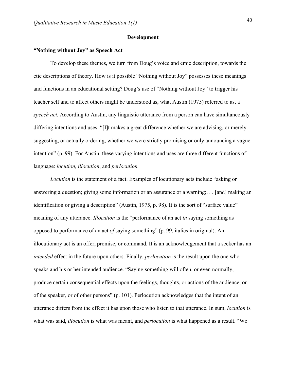#### **Development**

## **"Nothing without Joy" as Speech Act**

To develop these themes, we turn from Doug's voice and emic description, towards the etic descriptions of theory. How is it possible "Nothing without Joy" possesses these meanings and functions in an educational setting? Doug's use of "Nothing without Joy" to trigger his teacher self and to affect others might be understood as, what Austin (1975) referred to as, a *speech act.* According to Austin, any linguistic utterance from a person can have simultaneously differing intentions and uses. "[I]t makes a great difference whether we are advising, or merely suggesting, or actually ordering, whether we were strictly promising or only announcing a vague intention" (p. 99). For Austin, these varying intentions and uses are three different functions of language: *locution, illocution*, and *perlocution.*

*Locution* is the statement of a fact. Examples of locutionary acts include "asking or answering a question; giving some information or an assurance or a warning;. . . [and] making an identification or giving a description" (Austin, 1975, p. 98). It is the sort of "surface value" meaning of any utterance. *Illocution* is the "performance of an act *in* saying something as opposed to performance of an act *of* saying something" (p. 99, italics in original). An illocutionary act is an offer, promise, or command. It is an acknowledgement that a seeker has an *intended* effect in the future upon others. Finally, *perlocution* is the result upon the one who speaks and his or her intended audience. "Saying something will often, or even normally, produce certain consequential effects upon the feelings, thoughts, or actions of the audience, or of the speaker, or of other persons" (p. 101). Perlocution acknowledges that the intent of an utterance differs from the effect it has upon those who listen to that utterance. In sum, *locution* is what was said, *illocution* is what was meant, and *perlocution* is what happened as a result. "We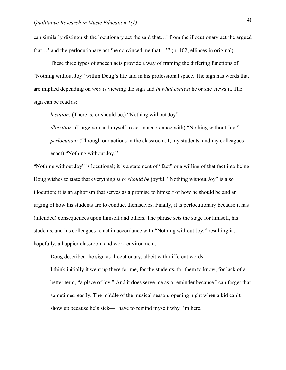can similarly distinguish the locutionary act 'he said that…' from the illocutionary act 'he argued that…' and the perlocutionary act 'he convinced me that…'" (p. 102, ellipses in original).

These three types of speech acts provide a way of framing the differing functions of "Nothing without Joy" within Doug's life and in his professional space. The sign has words that are implied depending on *who* is viewing the sign and *in what context* he or she views it. The sign can be read as:

*locution:* (There is, or should be,) "Nothing without Joy"

*illocution:* (I urge you and myself to act in accordance with) "Nothing without Joy." *perlocution:* (Through our actions in the classroom, I, my students, and my colleagues enact) "Nothing without Joy."

"Nothing without Joy" is locutional; it is a statement of "fact" or a willing of that fact into being. Doug wishes to state that everything *is* or *should be* joyful. "Nothing without Joy" is also illocution; it is an aphorism that serves as a promise to himself of how he should be and an urging of how his students are to conduct themselves. Finally, it is perlocutionary because it has (intended) consequences upon himself and others. The phrase sets the stage for himself, his students, and his colleagues to act in accordance with "Nothing without Joy," resulting in, hopefully, a happier classroom and work environment.

Doug described the sign as illocutionary, albeit with different words:

I think initially it went up there for me, for the students, for them to know, for lack of a better term, "a place of joy." And it does serve me as a reminder because I can forget that sometimes, easily. The middle of the musical season, opening night when a kid can't show up because he's sick—I have to remind myself why I'm here.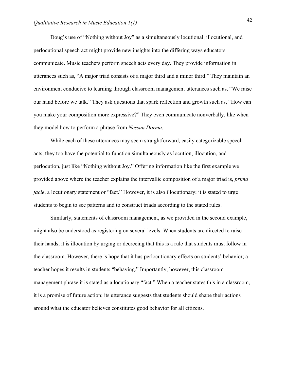Doug's use of "Nothing without Joy" as a simultaneously locutional, illocutional, and perlocutional speech act might provide new insights into the differing ways educators communicate. Music teachers perform speech acts every day. They provide information in utterances such as, "A major triad consists of a major third and a minor third." They maintain an environment conducive to learning through classroom management utterances such as, "We raise our hand before we talk." They ask questions that spark reflection and growth such as, "How can you make your composition more expressive?" They even communicate nonverbally, like when they model how to perform a phrase from *Nessun Dorma*.

While each of these utterances may seem straightforward, easily categorizable speech acts, they too have the potential to function simultaneously as locution, illocution, and perlocution, just like "Nothing without Joy." Offering information like the first example we provided above where the teacher explains the intervallic composition of a major triad is, *prima facie*, a locutionary statement or "fact." However, it is also illocutionary; it is stated to urge students to begin to see patterns and to construct triads according to the stated rules.

Similarly, statements of classroom management, as we provided in the second example, might also be understood as registering on several levels. When students are directed to raise their hands, it is illocution by urging or decreeing that this is a rule that students must follow in the classroom. However, there is hope that it has perlocutionary effects on students' behavior; a teacher hopes it results in students "behaving." Importantly, however, this classroom management phrase it is stated as a locutionary "fact." When a teacher states this in a classroom, it is a promise of future action; its utterance suggests that students should shape their actions around what the educator believes constitutes good behavior for all citizens.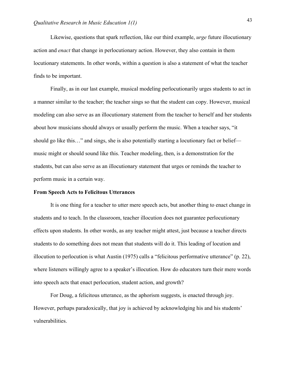Likewise, questions that spark reflection, like our third example, *urge* future illocutionary action and *enact* that change in perlocutionary action. However, they also contain in them locutionary statements. In other words, within a question is also a statement of what the teacher finds to be important.

Finally, as in our last example, musical modeling perlocutionarily urges students to act in a manner similar to the teacher; the teacher sings so that the student can copy. However, musical modeling can also serve as an illocutionary statement from the teacher to herself and her students about how musicians should always or usually perform the music. When a teacher says, "it should go like this…" and sings, she is also potentially starting a locutionary fact or belief music might or should sound like this. Teacher modeling, then, is a demonstration for the students, but can also serve as an illocutionary statement that urges or reminds the teacher to perform music in a certain way.

#### **From Speech Acts to Felicitous Utterances**

It is one thing for a teacher to utter mere speech acts, but another thing to enact change in students and to teach. In the classroom, teacher illocution does not guarantee perlocutionary effects upon students. In other words, as any teacher might attest, just because a teacher directs students to do something does not mean that students will do it. This leading of locution and illocution to perlocution is what Austin (1975) calls a "felicitous performative utterance" (p. 22), where listeners willingly agree to a speaker's illocution. How do educators turn their mere words into speech acts that enact perlocution, student action, and growth?

For Doug, a felicitous utterance, as the aphorism suggests, is enacted through joy. However, perhaps paradoxically, that joy is achieved by acknowledging his and his students' vulnerabilities.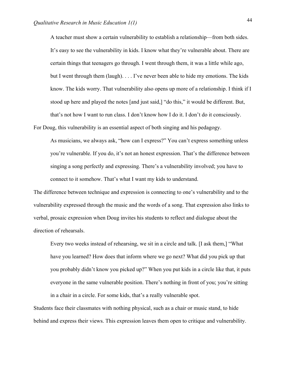A teacher must show a certain vulnerability to establish a relationship—from both sides. It's easy to see the vulnerability in kids. I know what they're vulnerable about. There are certain things that teenagers go through. I went through them, it was a little while ago, but I went through them (laugh). . . . I've never been able to hide my emotions. The kids know. The kids worry. That vulnerability also opens up more of a relationship. I think if I stood up here and played the notes [and just said,] "do this," it would be different. But, that's not how I want to run class. I don't know how I do it. I don't do it consciously.

For Doug, this vulnerability is an essential aspect of both singing and his pedagogy.

As musicians, we always ask, "how can I express?" You can't express something unless you're vulnerable. If you do, it's not an honest expression. That's the difference between singing a song perfectly and expressing. There's a vulnerability involved; you have to connect to it somehow. That's what I want my kids to understand.

The difference between technique and expression is connecting to one's vulnerability and to the vulnerability expressed through the music and the words of a song. That expression also links to verbal, prosaic expression when Doug invites his students to reflect and dialogue about the direction of rehearsals.

Every two weeks instead of rehearsing, we sit in a circle and talk. [I ask them,] "What have you learned? How does that inform where we go next? What did you pick up that you probably didn't know you picked up?" When you put kids in a circle like that, it puts everyone in the same vulnerable position. There's nothing in front of you; you're sitting in a chair in a circle. For some kids, that's a really vulnerable spot.

Students face their classmates with nothing physical, such as a chair or music stand, to hide behind and express their views. This expression leaves them open to critique and vulnerability.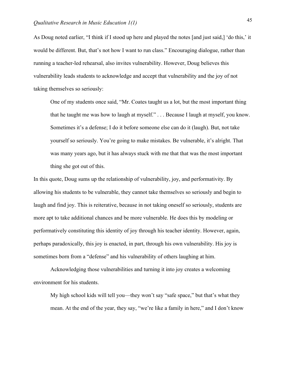As Doug noted earlier, "I think if I stood up here and played the notes [and just said,] 'do this,' it would be different. But, that's not how I want to run class." Encouraging dialogue, rather than running a teacher-led rehearsal, also invites vulnerability. However, Doug believes this vulnerability leads students to acknowledge and accept that vulnerability and the joy of not taking themselves so seriously:

One of my students once said, "Mr. Coates taught us a lot, but the most important thing that he taught me was how to laugh at myself." . . . Because I laugh at myself, you know. Sometimes it's a defense; I do it before someone else can do it (laugh). But, not take yourself so seriously. You're going to make mistakes. Be vulnerable, it's alright. That was many years ago, but it has always stuck with me that that was the most important thing she got out of this.

In this quote, Doug sums up the relationship of vulnerability, joy, and performativity. By allowing his students to be vulnerable, they cannot take themselves so seriously and begin to laugh and find joy. This is reiterative, because in not taking oneself so seriously, students are more apt to take additional chances and be more vulnerable. He does this by modeling or performatively constituting this identity of joy through his teacher identity. However, again, perhaps paradoxically, this joy is enacted, in part, through his own vulnerability. His joy is sometimes born from a "defense" and his vulnerability of others laughing at him.

Acknowledging those vulnerabilities and turning it into joy creates a welcoming environment for his students.

My high school kids will tell you—they won't say "safe space," but that's what they mean. At the end of the year, they say, "we're like a family in here," and I don't know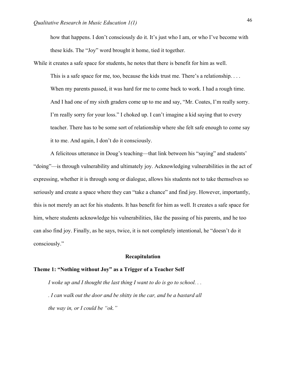how that happens. I don't consciously do it. It's just who I am, or who I've become with these kids. The "Joy" word brought it home, tied it together.

While it creates a safe space for students, he notes that there is benefit for him as well. This is a safe space for me, too, because the kids trust me. There's a relationship.... When my parents passed, it was hard for me to come back to work. I had a rough time. And I had one of my sixth graders come up to me and say, "Mr. Coates, I'm really sorry. I'm really sorry for your loss." I choked up. I can't imagine a kid saying that to every teacher. There has to be some sort of relationship where she felt safe enough to come say it to me. And again, I don't do it consciously.

A felicitous utterance in Doug's teaching—that link between his "saying" and students' "doing"—is through vulnerability and ultimately joy. Acknowledging vulnerabilities in the act of expressing, whether it is through song or dialogue, allows his students not to take themselves so seriously and create a space where they can "take a chance" and find joy. However, importantly, this is not merely an act for his students. It has benefit for him as well. It creates a safe space for him, where students acknowledge his vulnerabilities, like the passing of his parents, and he too can also find joy. Finally, as he says, twice, it is not completely intentional, he "doesn't do it consciously."

#### **Recapitulation**

#### **Theme 1: "Nothing without Joy" as a Trigger of a Teacher Self**

*I* woke up and *I* thought the last thing *I* want to do is go to school... *. I can walk out the door and be shitty in the car, and be a bastard all the way in, or I could be "ok."*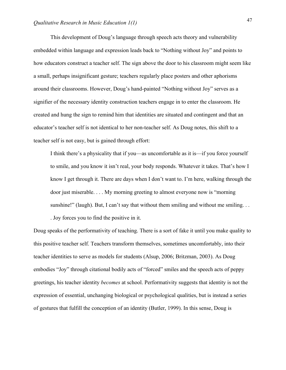This development of Doug's language through speech acts theory and vulnerability embedded within language and expression leads back to "Nothing without Joy" and points to how educators construct a teacher self. The sign above the door to his classroom might seem like a small, perhaps insignificant gesture; teachers regularly place posters and other aphorisms around their classrooms. However, Doug's hand-painted "Nothing without Joy" serves as a signifier of the necessary identity construction teachers engage in to enter the classroom. He created and hung the sign to remind him that identities are situated and contingent and that an educator's teacher self is not identical to her non-teacher self. As Doug notes, this shift to a teacher self is not easy, but is gained through effort:

I think there's a physicality that if you—as uncomfortable as it is—if you force yourself to smile, and you know it isn't real, your body responds. Whatever it takes. That's how I know I get through it. There are days when I don't want to. I'm here, walking through the door just miserable. . . . My morning greeting to almost everyone now is "morning sunshine!" (laugh). But, I can't say that without them smiling and without me smiling. . . . Joy forces you to find the positive in it.

Doug speaks of the performativity of teaching. There is a sort of fake it until you make quality to this positive teacher self. Teachers transform themselves, sometimes uncomfortably, into their teacher identities to serve as models for students (Alsup, 2006; Britzman, 2003). As Doug embodies "Joy" through citational bodily acts of "forced" smiles and the speech acts of peppy greetings, his teacher identity *becomes* at school. Performativity suggests that identity is not the expression of essential, unchanging biological or psychological qualities, but is instead a series of gestures that fulfill the conception of an identity (Butler, 1999). In this sense, Doug is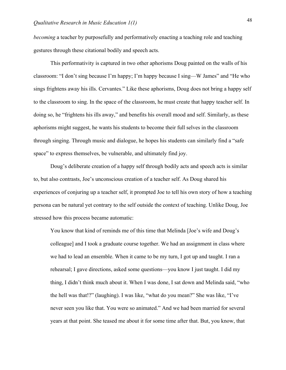*becoming* a teacher by purposefully and performatively enacting a teaching role and teaching gestures through these citational bodily and speech acts.

This performativity is captured in two other aphorisms Doug painted on the walls of his classroom: "I don't sing because I'm happy; I'm happy because I sing—W James" and "He who sings frightens away his ills. Cervantes." Like these aphorisms, Doug does not bring a happy self to the classroom to sing. In the space of the classroom, he must create that happy teacher self. In doing so, he "frightens his ills away," and benefits his overall mood and self. Similarly, as these aphorisms might suggest, he wants his students to become their full selves in the classroom through singing. Through music and dialogue, he hopes his students can similarly find a "safe space" to express themselves, be vulnerable, and ultimately find joy.

Doug's deliberate creation of a happy self through bodily acts and speech acts is similar to, but also contrasts, Joe's unconscious creation of a teacher self. As Doug shared his experiences of conjuring up a teacher self, it prompted Joe to tell his own story of how a teaching persona can be natural yet contrary to the self outside the context of teaching. Unlike Doug, Joe stressed how this process became automatic:

You know that kind of reminds me of this time that Melinda [Joe's wife and Doug's colleague] and I took a graduate course together. We had an assignment in class where we had to lead an ensemble. When it came to be my turn, I got up and taught. I ran a rehearsal; I gave directions, asked some questions—you know I just taught. I did my thing, I didn't think much about it. When I was done, I sat down and Melinda said, "who the hell was that!?" (laughing). I was like, "what do you mean?" She was like, "I've never seen you like that. You were so animated." And we had been married for several years at that point. She teased me about it for some time after that. But, you know, that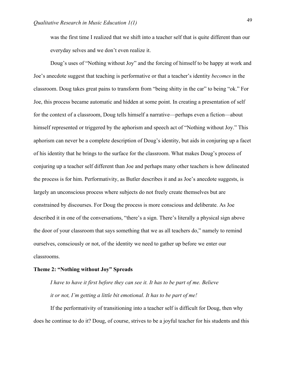was the first time I realized that we shift into a teacher self that is quite different than our everyday selves and we don't even realize it.

Doug's uses of "Nothing without Joy" and the forcing of himself to be happy at work and Joe's anecdote suggest that teaching is performative or that a teacher's identity *becomes* in the classroom. Doug takes great pains to transform from "being shitty in the car" to being "ok." For Joe, this process became automatic and hidden at some point. In creating a presentation of self for the context of a classroom, Doug tells himself a narrative—perhaps even a fiction—about himself represented or triggered by the aphorism and speech act of "Nothing without Joy." This aphorism can never be a complete description of Doug's identity, but aids in conjuring up a facet of his identity that he brings to the surface for the classroom. What makes Doug's process of conjuring up a teacher self different than Joe and perhaps many other teachers is how delineated the process is for him. Performativity, as Butler describes it and as Joe's anecdote suggests, is largely an unconscious process where subjects do not freely create themselves but are constrained by discourses. For Doug the process is more conscious and deliberate. As Joe described it in one of the conversations, "there's a sign. There's literally a physical sign above the door of your classroom that says something that we as all teachers do," namely to remind ourselves, consciously or not, of the identity we need to gather up before we enter our classrooms.

## **Theme 2: "Nothing without Joy" Spreads**

*I have to have it first before they can see it. It has to be part of me. Believe it or not, I'm getting a little bit emotional. It has to be part of me!*

If the performativity of transitioning into a teacher self is difficult for Doug, then why does he continue to do it? Doug, of course, strives to be a joyful teacher for his students and this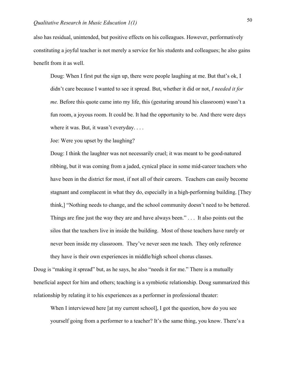also has residual, unintended, but positive effects on his colleagues. However, performatively constituting a joyful teacher is not merely a service for his students and colleagues; he also gains benefit from it as well.

Doug: When I first put the sign up, there were people laughing at me. But that's ok, I didn't care because I wanted to see it spread. But, whether it did or not, *I needed it for me.* Before this quote came into my life, this (gesturing around his classroom) wasn't a fun room, a joyous room. It could be. It had the opportunity to be. And there were days where it was. But, it wasn't everyday. . . .

Joe: Were you upset by the laughing?

Doug: I think the laughter was not necessarily cruel; it was meant to be good-natured ribbing, but it was coming from a jaded, cynical place in some mid-career teachers who have been in the district for most, if not all of their careers. Teachers can easily become stagnant and complacent in what they do, especially in a high-performing building. [They think,] "Nothing needs to change, and the school community doesn't need to be bettered. Things are fine just the way they are and have always been."... It also points out the silos that the teachers live in inside the building. Most of those teachers have rarely or never been inside my classroom. They've never seen me teach. They only reference they have is their own experiences in middle/high school chorus classes.

Doug is "making it spread" but, as he says, he also "needs it for me." There is a mutually beneficial aspect for him and others; teaching is a symbiotic relationship. Doug summarized this relationship by relating it to his experiences as a performer in professional theater:

When I interviewed here [at my current school], I got the question, how do you see yourself going from a performer to a teacher? It's the same thing, you know. There's a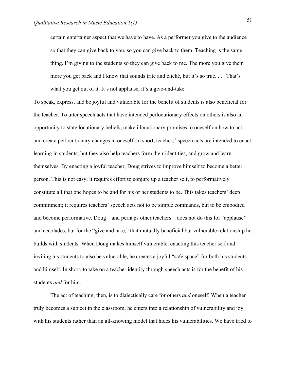certain entertainer aspect that we have to have. As a performer you give to the audience so that they can give back to you, so you can give back to them. Teaching is the same thing. I'm giving to the students so they can give back to me. The more you give them more you get back and I know that sounds trite and cliché, but it's so true. . . . That's what you get out of it. It's not applause, it's a give-and-take.

To speak, express, and be joyful and vulnerable for the benefit of students is also beneficial for the teacher. To utter speech acts that have intended perlocutionary effects on others is also an opportunity to state locutionary beliefs, make illocutionary promises to oneself on how to act, and create perlocutionary changes in oneself. In short, teachers' speech acts are intended to enact learning in students, but they also help teachers form their identities, and grow and learn themselves. By enacting a joyful teacher, Doug strives to improve himself to become a better person. This is not easy; it requires effort to conjure up a teacher self, to performatively constitute all that one hopes to be and for his or her students to be. This takes teachers' deep commitment; it requires teachers' speech acts not to be simple commands, but to be embodied and become performative. Doug—and perhaps other teachers—does not do this for "applause" and accolades, but for the "give and take," that mutually beneficial but vulnerable relationship he builds with students. When Doug makes himself vulnerable, enacting this teacher self and inviting his students to also be vulnerable, he creates a joyful "safe space" for both his students and himself. In short, to take on a teacher identity through speech acts is for the benefit of his students *and* for him.

The act of teaching, then, is to dialectically care for others *and* oneself. When a teacher truly becomes a subject in the classroom, he enters into a relationship of vulnerability and joy with his students rather than an all-knowing model that hides his vulnerabilities. We have tried to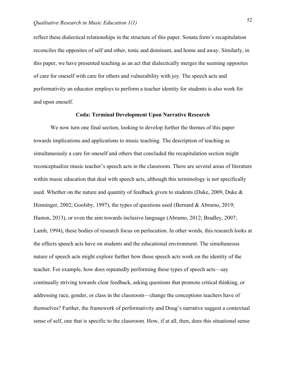reflect these dialectical relationships in the structure of this paper. Sonata form's recapitulation reconciles the opposites of self and other, tonic and dominant, and home and away. Similarly, in this paper, we have presented teaching as an act that dialectically merges the seeming opposites of care for oneself with care for others and vulnerability with joy. The speech acts and performativity an educator employs to perform a teacher identity for students is also work for and upon oneself.

#### **Coda: Terminal Development Upon Narrative Research**

We now turn one final section, looking to develop further the themes of this paper towards implications and applications to music teaching. The description of teaching as simultaneously a care for oneself and others that concluded the recapitulation section might reconceptualize music teacher's speech acts in the classroom. There are several areas of literature within music education that deal with speech acts, although this terminology is not specifically used. Whether on the nature and quantity of feedback given to students (Duke, 2009, Duke & Henninger, 2002; Goolsby, 1997), the types of questions used (Bernard & Abramo, 2019; Haston, 2013), or even the aim towards inclusive language (Abramo, 2012; Bradley, 2007; Lamb, 1994), these bodies of research focus on perlocution. In other words, this research looks at the effects speech acts have on students and the educational environment. The simultaneous nature of speech acts might explore further how these speech acts work on the identity of the teacher. For example, how does repeatedly performing these types of speech acts—say continually striving towards clear feedback, asking questions that promote critical thinking, or addressing race, gender, or class in the classroom—change the conceptions teachers have of themselves? Further, the framework of performativity and Doug's narrative suggest a contextual sense of self, one that is specific to the classroom. How, if at all, then, does this situational sense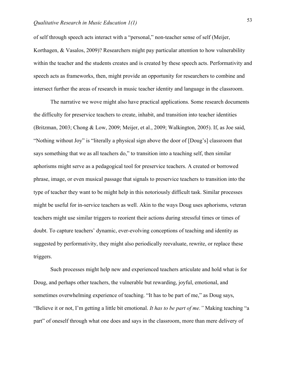of self through speech acts interact with a "personal," non-teacher sense of self (Meijer, Korthagen, & Vasalos, 2009)? Researchers might pay particular attention to how vulnerability within the teacher and the students creates and is created by these speech acts. Performativity and speech acts as frameworks, then, might provide an opportunity for researchers to combine and intersect further the areas of research in music teacher identity and language in the classroom.

The narrative we wove might also have practical applications. Some research documents the difficulty for preservice teachers to create, inhabit, and transition into teacher identities (Britzman, 2003; Chong & Low, 2009; Meijer, et al., 2009; Walkington, 2005). If, as Joe said, "Nothing without Joy" is "literally a physical sign above the door of [Doug's] classroom that says something that we as all teachers do," to transition into a teaching self, then similar aphorisms might serve as a pedagogical tool for preservice teachers. A created or borrowed phrase, image, or even musical passage that signals to preservice teachers to transition into the type of teacher they want to be might help in this notoriously difficult task. Similar processes might be useful for in-service teachers as well. Akin to the ways Doug uses aphorisms, veteran teachers might use similar triggers to reorient their actions during stressful times or times of doubt. To capture teachers' dynamic, ever-evolving conceptions of teaching and identity as suggested by performativity, they might also periodically reevaluate, rewrite, or replace these triggers.

Such processes might help new and experienced teachers articulate and hold what is for Doug, and perhaps other teachers, the vulnerable but rewarding, joyful, emotional, and sometimes overwhelming experience of teaching. "It has to be part of me," as Doug says, "Believe it or not, I'm getting a little bit emotional. *It has to be part of me."* Making teaching "a part" of oneself through what one does and says in the classroom, more than mere delivery of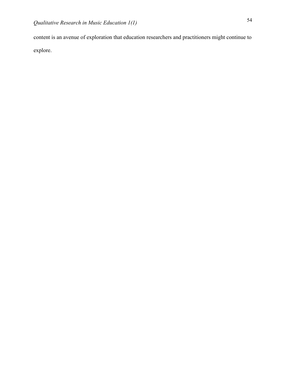content is an avenue of exploration that education researchers and practitioners might continue to explore.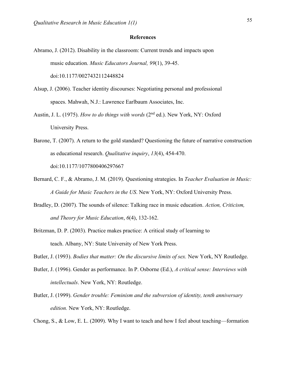#### **References**

- Abramo, J. (2012). Disability in the classroom: Current trends and impacts upon music education. *Music Educators Journal, 99*(1), 39-45. doi:10.1177/0027432112448824
- Alsup, J. (2006). Teacher identity discourses: Negotiating personal and professional spaces. Mahwah, N.J.: Lawrence Earlbaum Associates, Inc.
- Austin, J. L. (1975). *How to do things with words* (2<sup>nd</sup> ed.). New York, NY: Oxford University Press.
- Barone, T. (2007). A return to the gold standard? Questioning the future of narrative construction as educational research. *Qualitative inquiry*, *13*(4), 454-470. doi:10.1177/1077800406297667
- Bernard, C. F., & Abramo, J. M. (2019). Questioning strategies. In *Teacher Evaluation in Music: A Guide for Music Teachers in the US*. New York, NY: Oxford University Press.
- Bradley, D. (2007). The sounds of silence: Talking race in music education. *Action, Criticism, and Theory for Music Education*, *6*(4), 132-162.
- Britzman, D. P. (2003). Practice makes practice: A critical study of learning to teach. Albany, NY: State University of New York Press.

Butler, J. (1993). *Bodies that matter: On the discursive limits of sex.* New York, NY Routledge.

- Butler, J. (1996). Gender as performance. In P. Osborne (Ed.), *A critical sense: Interviews with intellectuals*. New York, NY: Routledge.
- Butler, J. (1999). *Gender trouble: Feminism and the subversion of identity, tenth anniversary edition.* New York, NY: Routledge.

Chong, S., & Low, E. L. (2009). Why I want to teach and how I feel about teaching—formation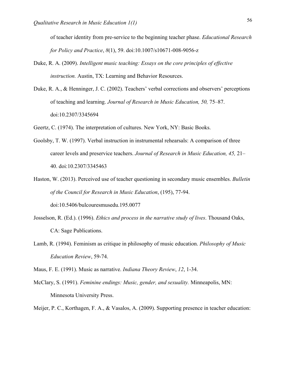of teacher identity from pre-service to the beginning teacher phase. *Educational Research for Policy and Practice*, *8*(1), 59. doi:10.1007/s10671-008-9056-z

- Duke, R. A. (2009). *Intelligent music teaching: Essays on the core principles of effective instruction.* Austin, TX: Learning and Behavior Resources.
- Duke, R. A., & Henninger, J. C. (2002). Teachers' verbal corrections and observers' perceptions of teaching and learning. *Journal of Research in Music Education, 50,* 75–87. doi:10.2307/3345694

Geertz, C. (1974). The interpretation of cultures. New York, NY: Basic Books.

- Goolsby, T. W. (1997). Verbal instruction in instrumental rehearsals: A comparison of three career levels and preservice teachers. *Journal of Research in Music Education, 45,* 21– 40. doi:10.2307/3345463
- Haston, W. (2013). Perceived use of teacher questioning in secondary music ensembles. *Bulletin of the Council for Research in Music Education*, (195), 77-94. doi:10.5406/bulcouresmusedu.195.0077
- Josselson, R. (Ed.). (1996). *Ethics and process in the narrative study of lives*. Thousand Oaks, CA: Sage Publications.
- Lamb, R. (1994). Feminism as critique in philosophy of music education. *Philosophy of Music Education Review*, 59-74.

Maus, F. E. (1991). Music as narrative. *Indiana Theory Review*, *12*, 1-34.

- McClary, S. (1991). *Feminine endings: Music, gender, and sexuality.* Minneapolis, MN: Minnesota University Press.
- Meijer, P. C., Korthagen, F. A., & Vasalos, A. (2009). Supporting presence in teacher education: